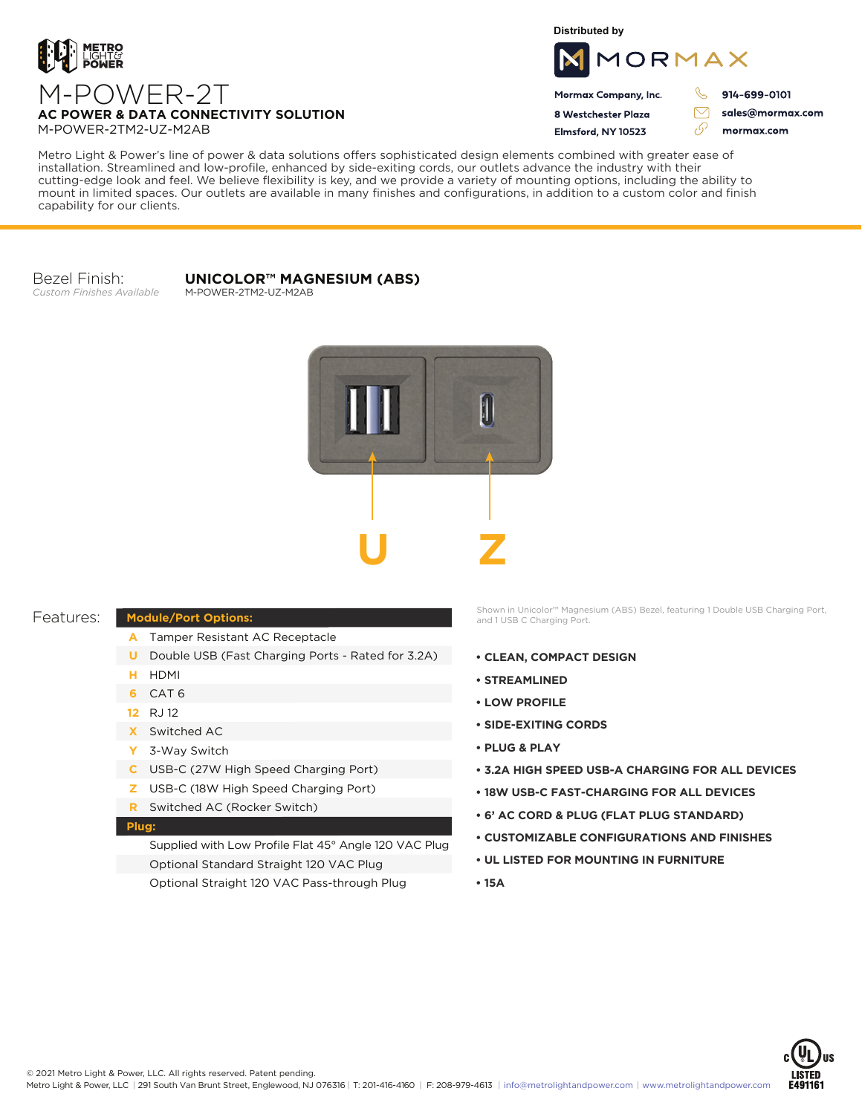

**Distributed by**



Mormax Company, Inc. 8 Westchester Plaza

Elmsford, NY 10523

914-699-0101

sales@mormax.com mormax.com

# M-POWER-2T **AC POWER & DATA CONNECTIVITY SOLUTION** M-POWER-2TM2-UZ-M2AB

Metro Light & Power's line of power & data solutions offers sophisticated design elements combined with greater ease of installation. Streamlined and low-profile, enhanced by side-exiting cords, our outlets advance the industry with their cutting-edge look and feel. We believe flexibility is key, and we provide a variety of mounting options, including the ability to mount in limited spaces. Our outlets are available in many finishes and configurations, in addition to a custom color and finish capability for our clients.

Bezel Finish: *Custom Finishes Available*

#### **UNICOLOR™ MAGNESIUM (ABS)** M-POWER-2TM2-UZ-M2AB



### Features:

## **Module/Port Options:**

- A Tamper Resistant AC Receptacle
- **U** Double USB (Fast Charging Ports Rated for 3.2A)
- HDMI **H**
- CAT 6 **6**
- RJ 12 **12**
- Switched AC **X**
- 3-Way Switch **Y**
- USB-C (27W High Speed Charging Port) **C**
- USB-C (18W High Speed Charging Port) **Z**
- Switched AC (Rocker Switch) **R**

### **Plug:**

Supplied with Low Profile Flat 45° Angle 120 VAC Plug Optional Standard Straight 120 VAC Plug Optional Straight 120 VAC Pass-through Plug

Shown in Unicolor™ Magnesium (ABS) Bezel, featuring 1 Double USB Charging Port, and 1 USB C Charging Port.

- **CLEAN, COMPACT DESIGN**
- **STREAMLINED**
- **LOW PROFILE**
- **SIDE-EXITING CORDS**
- **PLUG & PLAY**
- **3.2A HIGH SPEED USB-A CHARGING FOR ALL DEVICES**
- **18W USB-C FAST-CHARGING FOR ALL DEVICES**
- **6' AC CORD & PLUG (FLAT PLUG STANDARD)**
- **CUSTOMIZABLE CONFIGURATIONS AND FINISHES**
- **UL LISTED FOR MOUNTING IN FURNITURE**
- **15A**